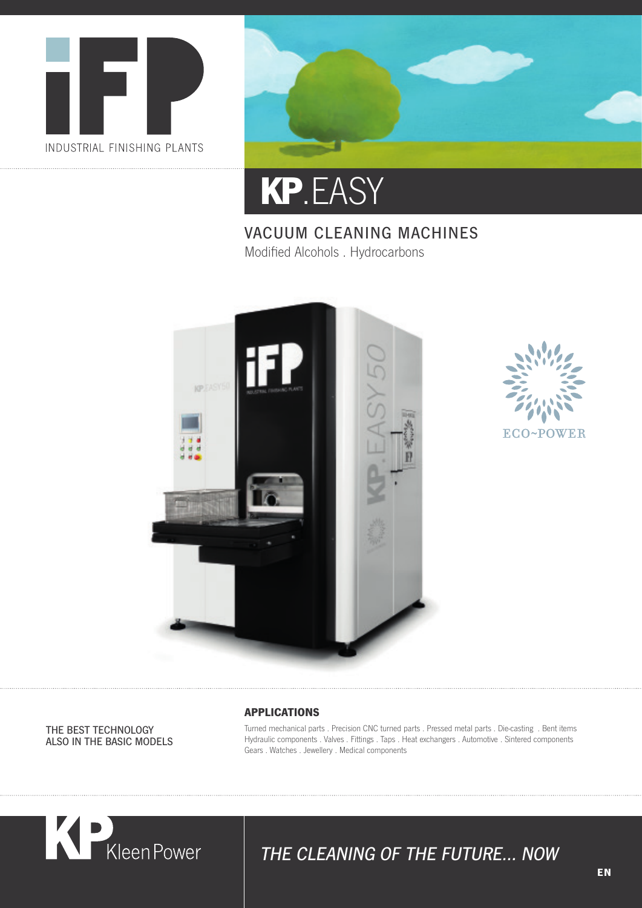





#### VACUUM CLEANING MACHINES Modified Alcohols . Hydrocarbons





THE BEST TECHNOLOGY ALSO IN THE BASIC MODELS

#### **APPLICATIONS**

Turned mechanical parts . Precision CNC turned parts . Pressed metal parts . Die-casting . Bent items Hydraulic components . Valves . Fittings . Taps . Heat exchangers . Automotive . Sintered components Gears . Watches . Jewellery . Medical components



### THE CLEANING OF THE FUTURE… NOW